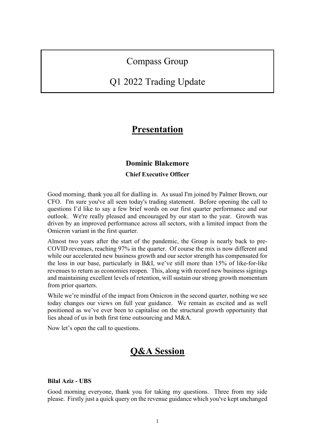## Compass Group

## Q1 2022 Trading Update

## **Presentation**

# **Dominic Blakemore**

#### **Chief Executive Officer**

Good morning, thank you all for dialling in. As usual I'm joined by Palmer Brown, our CFO. I'm sure you've all seen today's trading statement. Before opening the call to questions I'd like to say a few brief words on our first quarter performance and our outlook. We're really pleased and encouraged by our start to the year. Growth was driven by an improved performance across all sectors, with a limited impact from the Omicron variant in the first quarter.

Almost two years after the start of the pandemic, the Group is nearly back to pre-COVID revenues, reaching 97% in the quarter. Of course the mix is now different and while our accelerated new business growth and our sector strength has compensated for the loss in our base, particularly in B&I, we've still more than 15% of like-for-like revenues to return as economies reopen. This, along with record new business signings and maintaining excellent levels of retention, will sustain our strong growth momentum from prior quarters.

While we're mindful of the impact from Omicron in the second quarter, nothing we see today changes our views on full year guidance. We remain as excited and as well positioned as we've ever been to capitalise on the structural growth opportunity that lies ahead of us in both first time outsourcing and M&A.

Now let's open the call to questions.

## **Q&A Session**

#### **Bilal Aziz - UBS**

Good morning everyone, thank you for taking my questions. Three from my side please. Firstly just a quick query on the revenue guidance which you've kept unchanged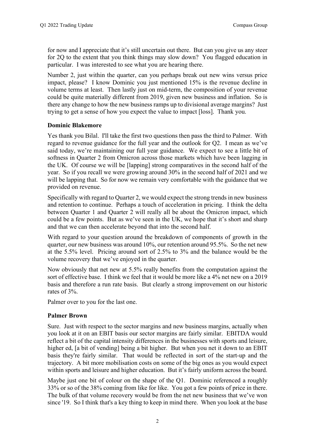for now and I appreciate that it's still uncertain out there. But can you give us any steer for 2Q to the extent that you think things may slow down? You flagged education in particular. I was interested to see what you are hearing there.

Number 2, just within the quarter, can you perhaps break out new wins versus price impact, please? I know Dominic you just mentioned 15% is the revenue decline in volume terms at least. Then lastly just on mid-term, the composition of your revenue could be quite materially different from 2019, given new business and inflation. So is there any change to how the new business ramps up to divisional average margins? Just trying to get a sense of how you expect the value to impact [loss]. Thank you.

#### **Dominic Blakemore**

Yes thank you Bilal. I'll take the first two questions then pass the third to Palmer. With regard to revenue guidance for the full year and the outlook for Q2. I mean as we've said today, we're maintaining our full year guidance. We expect to see a little bit of softness in Quarter 2 from Omicron across those markets which have been lagging in the UK. Of course we will be [lapping] strong comparatives in the second half of the year. So if you recall we were growing around 30% in the second half of 2021 and we will be lapping that. So for now we remain very comfortable with the guidance that we provided on revenue.

Specifically with regard to Quarter 2, we would expect the strong trends in new business and retention to continue. Perhaps a touch of acceleration in pricing. I think the delta between Quarter 1 and Quarter 2 will really all be about the Omicron impact, which could be a few points. But as we've seen in the UK, we hope that it's short and sharp and that we can then accelerate beyond that into the second half.

With regard to your question around the breakdown of components of growth in the quarter, our new business was around 10%, our retention around 95.5%. So the net new at the 5.5% level. Pricing around sort of 2.5% to 3% and the balance would be the volume recovery that we've enjoyed in the quarter.

Now obviously that net new at 5.5% really benefits from the computation against the sort of effective base. I think we feel that it would be more like a 4% net new on a 2019 basis and therefore a run rate basis. But clearly a strong improvement on our historic rates of 3%.

Palmer over to you for the last one.

#### **Palmer Brown**

Sure. Just with respect to the sector margins and new business margins, actually when you look at it on an EBIT basis our sector margins are fairly similar. EBITDA would reflect a bit of the capital intensity differences in the businesses with sports and leisure, higher ed, [a bit of vending] being a bit higher. But when you net it down to an EBIT basis they're fairly similar. That would be reflected in sort of the start-up and the trajectory. A bit more mobilisation costs on some of the big ones as you would expect within sports and leisure and higher education. But it's fairly uniform across the board.

Maybe just one bit of colour on the shape of the Q1. Dominic referenced a roughly 33% or so of the 38% coming from like for like. You got a few points of price in there. The bulk of that volume recovery would be from the net new business that we've won since '19. So I think that's a key thing to keep in mind there. When you look at the base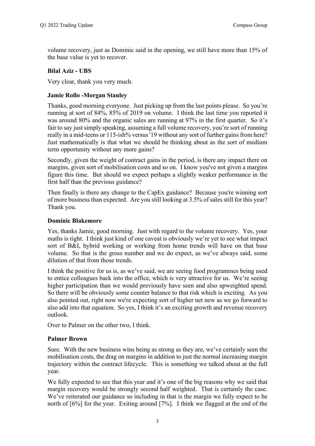volume recovery, just as Dominic said in the opening, we still have more than 15% of the base value is yet to recover.

### **Bilal Aziz - UBS**

Very clear, thank you very much.

#### **Jamie Rollo -Morgan Stanley**

Thanks, good morning everyone. Just picking up from the last points please. So you're running at sort of 84%, 85% of 2019 on volume. I think the last time you reported it was around 80% and the organic sales are running at 97% in the first quarter. So it's fair to say just simply speaking, assuming a full volume recovery, you're sort of running really in a mid-teens or 115-ish% versus '19 without any sort of further gains from here? Just mathematically is that what we should be thinking about as the sort of medium term opportunity without any more gains?

Secondly, given the weight of contract gains in the period, is there any impact there on margins, given sort of mobilisation costs and so on. I know you've not given a margins figure this time. But should we expect perhaps a slightly weaker performance in the first half than the previous guidance?

Then finally is there any change to the CapEx guidance? Because you're winning sort of more business than expected. Are you still looking at 3.5% of sales still for this year? Thank you.

#### **Dominic Blakemore**

Yes, thanks Jamie, good morning. Just with regard to the volume recovery. Yes, your maths is right. I think just kind of one caveat is obviously we're yet to see what impact sort of B&I, hybrid working or working from home trends will have on that base volume. So that is the gross number and we do expect, as we've always said, some dilution of that from those trends.

I think the positive for us is, as we've said, we are seeing food programmes being used to entice colleagues back into the office, which is very attractive for us. We're seeing higher participation than we would previously have seen and also upweighted spend. So there will be obviously some counter balance to that risk which is exciting. As you also pointed out, right now we're expecting sort of higher net new as we go forward to also add into that equation. So yes, I think it's an exciting growth and revenue recovery outlook.

Over to Palmer on the other two, I think.

#### **Palmer Brown**

Sure. With the new business wins being as strong as they are, we've certainly seen the mobilisation costs, the drag on margins in addition to just the normal increasing margin trajectory within the contract lifecycle. This is something we talked about at the full year.

We fully expected to see that this year and it's one of the big reasons why we said that margin recovery would be strongly second half weighted. That is certainly the case. We've reiterated our guidance so including in that is the margin we fully expect to be north of [6%] for the year. Exiting around [7%]. I think we flagged at the end of the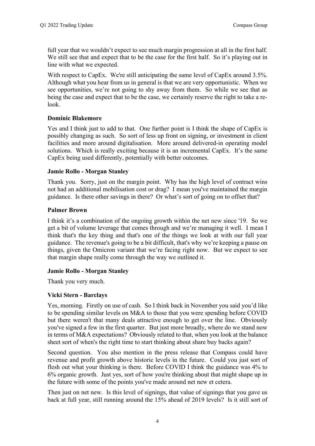full year that we wouldn't expect to see much margin progression at all in the first half. We still see that and expect that to be the case for the first half. So it's playing out in line with what we expected.

With respect to CapEx. We're still anticipating the same level of CapEx around 3.5%. Although what you hear from us in general is that we are very opportunistic. When we see opportunities, we're not going to shy away from them. So while we see that as being the case and expect that to be the case, we certainly reserve the right to take a relook.

#### **Dominic Blakemore**

Yes and I think just to add to that. One further point is I think the shape of CapEx is possibly changing as such. So sort of less up front on signing, or investment in client facilities and more around digitalisation. More around delivered-in operating model solutions. Which is really exciting because it is an incremental CapEx. It's the same CapEx being used differently, potentially with better outcomes.

#### **Jamie Rollo - Morgan Stanley**

Thank you. Sorry, just on the margin point. Why has the high level of contract wins not had an additional mobilisation cost or drag? I mean you've maintained the margin guidance. Is there other savings in there? Or what's sort of going on to offset that?

#### **Palmer Brown**

I think it's a combination of the ongoing growth within the net new since '19. So we get a bit of volume leverage that comes through and we're managing it well. I mean I think that's the key thing and that's one of the things we look at with our full year guidance. The revenue's going to be a bit difficult, that's why we're keeping a pause on things, given the Omicron variant that we're facing right now. But we expect to see that margin shape really come through the way we outlined it.

### **Jamie Rollo - Morgan Stanley**

Thank you very much.

#### **Vicki Stern - Barclays**

Yes, morning. Firstly on use of cash. So I think back in November you said you'd like to be spending similar levels on M&A to those that you were spending before COVID but there weren't that many deals attractive enough to get over the line. Obviously you've signed a few in the first quarter. But just more broadly, where do we stand now in terms of M&A expectations? Obviously related to that, when you look at the balance sheet sort of when's the right time to start thinking about share buy backs again?

Second question. You also mention in the press release that Compass could have revenue and profit growth above historic levels in the future. Could you just sort of flesh out what your thinking is there. Before COVID I think the guidance was 4% to 6% organic growth. Just yes, sort of how you're thinking about that might shape up in the future with some of the points you've made around net new et cetera.

Then just on net new. Is this level of signings, that value of signings that you gave us back at full year, still running around the 15% ahead of 2019 levels? Is it still sort of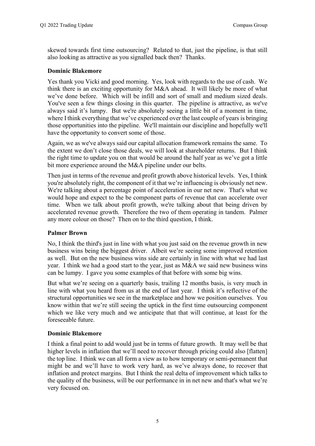skewed towards first time outsourcing? Related to that, just the pipeline, is that still also looking as attractive as you signalled back then? Thanks.

#### **Dominic Blakemore**

Yes thank you Vicki and good morning. Yes, look with regards to the use of cash. We think there is an exciting opportunity for M&A ahead. It will likely be more of what we've done before. Which will be infill and sort of small and medium sized deals. You've seen a few things closing in this quarter. The pipeline is attractive, as we've always said it's lumpy. But we're absolutely seeing a little bit of a moment in time, where I think everything that we've experienced over the last couple of years is bringing those opportunities into the pipeline. We'll maintain our discipline and hopefully we'll have the opportunity to convert some of those.

Again, we as we've always said our capital allocation framework remains the same. To the extent we don't close those deals, we will look at shareholder returns. But I think the right time to update you on that would be around the half year as we've got a little bit more experience around the M&A pipeline under our belts.

Then just in terms of the revenue and profit growth above historical levels. Yes, I think you're absolutely right, the component of it that we're influencing is obviously net new. We're talking about a percentage point of acceleration in our net new. That's what we would hope and expect to the be component parts of revenue that can accelerate over time. When we talk about profit growth, we're talking about that being driven by accelerated revenue growth. Therefore the two of them operating in tandem. Palmer any more colour on those? Then on to the third question, I think.

#### **Palmer Brown**

No, I think the third's just in line with what you just said on the revenue growth in new business wins being the biggest driver. Albeit we're seeing some improved retention as well. But on the new business wins side are certainly in line with what we had last year. I think we had a good start to the year, just as M&A we said new business wins can be lumpy. I gave you some examples of that before with some big wins.

But what we're seeing on a quarterly basis, trailing 12 months basis, is very much in line with what you heard from us at the end of last year. I think it's reflective of the structural opportunities we see in the marketplace and how we position ourselves. You know within that we're still seeing the uptick in the first time outsourcing component which we like very much and we anticipate that that will continue, at least for the foreseeable future.

#### **Dominic Blakemore**

I think a final point to add would just be in terms of future growth. It may well be that higher levels in inflation that we'll need to recover through pricing could also [flatten] the top line. I think we can all form a view as to how temporary or semi-permanent that might be and we'll have to work very hard, as we've always done, to recover that inflation and protect margins. But I think the real delta of improvement which talks to the quality of the business, will be our performance in in net new and that's what we're very focused on.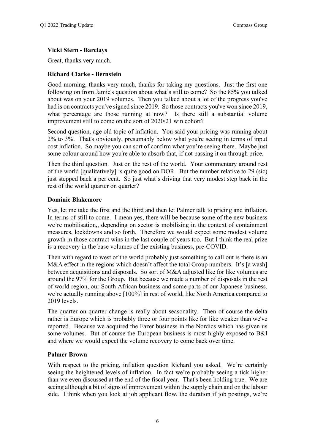#### **Vicki Stern - Barclays**

Great, thanks very much.

#### **Richard Clarke - Bernstein**

Good morning, thanks very much, thanks for taking my questions. Just the first one following on from Jamie's question about what's still to come? So the 85% you talked about was on your 2019 volumes. Then you talked about a lot of the progress you've had is on contracts you've signed since 2019. So those contracts you've won since 2019, what percentage are those running at now? Is there still a substantial volume improvement still to come on the sort of 2020/21 win cohort?

Second question, age old topic of inflation. You said your pricing was running about 2% to 3%. That's obviously, presumably below what you're seeing in terms of input cost inflation. So maybe you can sort of confirm what you're seeing there. Maybe just some colour around how you're able to absorb that, if not passing it on through price.

Then the third question. Just on the rest of the world. Your commentary around rest of the world [qualitatively] is quite good on DOR. But the number relative to 29 (sic) just stepped back a per cent. So just what's driving that very modest step back in the rest of the world quarter on quarter?

#### **Dominic Blakemore**

Yes, let me take the first and the third and then let Palmer talk to pricing and inflation. In terms of still to come. I mean yes, there will be because some of the new business we're mobilisation,, depending on sector is mobilising in the context of containment measures, lockdowns and so forth. Therefore we would expect some modest volume growth in those contract wins in the last couple of years too. But I think the real prize is a recovery in the base volumes of the existing business, pre-COVID.

Then with regard to west of the world probably just something to call out is there is an M&A effect in the regions which doesn't affect the total Group numbers. It's [a wash] between acquisitions and disposals. So sort of M&A adjusted like for like volumes are around the 97% for the Group. But because we made a number of disposals in the rest of world region, our South African business and some parts of our Japanese business, we're actually running above [100%] in rest of world, like North America compared to 2019 levels.

The quarter on quarter change is really about seasonality. Then of course the delta rather is Europe which is probably three or four points like for like weaker than we've reported. Because we acquired the Fazer business in the Nordics which has given us some volumes. But of course the European business is most highly exposed to B&I and where we would expect the volume recovery to come back over time.

### **Palmer Brown**

With respect to the pricing, inflation question Richard you asked. We're certainly seeing the heightened levels of inflation. In fact we're probably seeing a tick higher than we even discussed at the end of the fiscal year. That's been holding true. We are seeing although a bit of signs of improvement within the supply chain and on the labour side. I think when you look at job applicant flow, the duration if job postings, we're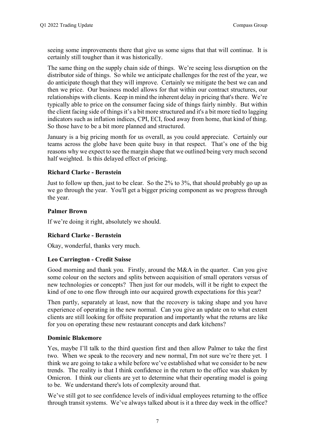seeing some improvements there that give us some signs that that will continue. It is certainly still tougher than it was historically.

The same thing on the supply chain side of things. We're seeing less disruption on the distributor side of things. So while we anticipate challenges for the rest of the year, we do anticipate though that they will improve. Certainly we mitigate the best we can and then we price. Our business model allows for that within our contract structures, our relationships with clients. Keep in mind the inherent delay in pricing that's there. We're typically able to price on the consumer facing side of things fairly nimbly. But within the client facing side of things it's a bit more structured and it's a bit more tied to lagging indicators such as inflation indices, CPI, ECI, food away from home, that kind of thing. So those have to be a bit more planned and structured.

January is a big pricing month for us overall, as you could appreciate. Certainly our teams across the globe have been quite busy in that respect. That's one of the big reasons why we expect to see the margin shape that we outlined being very much second half weighted. Is this delayed effect of pricing.

#### **Richard Clarke - Bernstein**

Just to follow up then, just to be clear. So the 2% to 3%, that should probably go up as we go through the year. You'll get a bigger pricing component as we progress through the year.

#### **Palmer Brown**

If we're doing it right, absolutely we should.

### **Richard Clarke - Bernstein**

Okay, wonderful, thanks very much.

#### **Leo Carrington - Credit Suisse**

Good morning and thank you. Firstly, around the M&A in the quarter. Can you give some colour on the sectors and splits between acquisition of small operators versus of new technologies or concepts? Then just for our models, will it be right to expect the kind of one to one flow through into our acquired growth expectations for this year?

Then partly, separately at least, now that the recovery is taking shape and you have experience of operating in the new normal. Can you give an update on to what extent clients are still looking for offsite preparation and importantly what the returns are like for you on operating these new restaurant concepts and dark kitchens?

#### **Dominic Blakemore**

Yes, maybe I'll talk to the third question first and then allow Palmer to take the first two. When we speak to the recovery and new normal, I'm not sure we're there yet. I think we are going to take a while before we've established what we consider to be new trends. The reality is that I think confidence in the return to the office was shaken by Omicron. I think our clients are yet to determine what their operating model is going to be. We understand there's lots of complexity around that.

We've still got to see confidence levels of individual employees returning to the office through transit systems. We've always talked about is it a three day week in the office?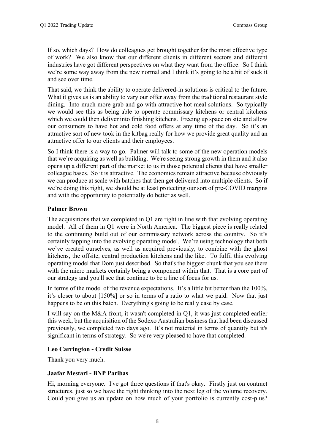If so, which days? How do colleagues get brought together for the most effective type of work? We also know that our different clients in different sectors and different industries have got different perspectives on what they want from the office. So I think we're some way away from the new normal and I think it's going to be a bit of suck it and see over time.

That said, we think the ability to operate delivered-in solutions is critical to the future. What it gives us is an ability to vary our offer away from the traditional restaurant style dining. Into much more grab and go with attractive hot meal solutions. So typically we would see this as being able to operate commissary kitchens or central kitchens which we could then deliver into finishing kitchens. Freeing up space on site and allow our consumers to have hot and cold food offers at any time of the day. So it's an attractive sort of new took in the kitbag really for how we provide great quality and an attractive offer to our clients and their employees.

So I think there is a way to go. Palmer will talk to some of the new operation models that we're acquiring as well as building. We're seeing strong growth in them and it also opens up a different part of the market to us in those potential clients that have smaller colleague bases. So it is attractive. The economics remain attractive because obviously we can produce at scale with batches that then get delivered into multiple clients. So if we're doing this right, we should be at least protecting our sort of pre-COVID margins and with the opportunity to potentially do better as well.

#### **Palmer Brown**

The acquisitions that we completed in Q1 are right in line with that evolving operating model. All of them in Q1 were in North America. The biggest piece is really related to the continuing build out of our commissary network across the country. So it's certainly tapping into the evolving operating model. We're using technology that both we've created ourselves, as well as acquired previously, to combine with the ghost kitchens, the offsite, central production kitchens and the like. To fulfil this evolving operating model that Dom just described. So that's the biggest chunk that you see there with the micro markets certainly being a component within that. That is a core part of our strategy and you'll see that continue to be a line of focus for us.

In terms of the model of the revenue expectations. It's a little bit better than the 100%, it's closer to about [150%] or so in terms of a ratio to what we paid. Now that just happens to be on this batch. Everything's going to be really case by case.

I will say on the M&A front, it wasn't completed in Q1, it was just completed earlier this week, but the acquisition of the Sodexo Australian business that had been discussed previously, we completed two days ago. It's not material in terms of quantity but it's significant in terms of strategy. So we're very pleased to have that completed.

### **Leo Carrington - Credit Suisse**

Thank you very much.

#### **Jaafar Mestari - BNP Paribas**

Hi, morning everyone. I've got three questions if that's okay. Firstly just on contract structures, just so we have the right thinking into the next leg of the volume recovery. Could you give us an update on how much of your portfolio is currently cost-plus?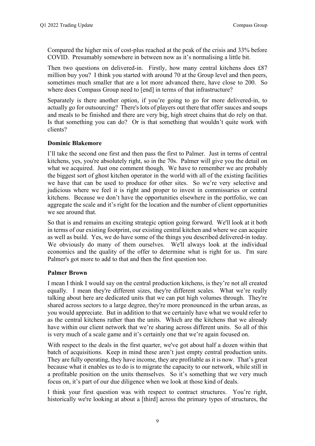Compared the higher mix of cost-plus reached at the peak of the crisis and 33% before COVID. Presumably somewhere in between now as it's normalising a little bit.

Then two questions on delivered-in. Firstly, how many central kitchens does £87 million buy you? I think you started with around 70 at the Group level and then peers, sometimes much smaller that are a lot more advanced there, have close to 200. So where does Compass Group need to [end] in terms of that infrastructure?

Separately is there another option, if you're going to go for more delivered-in, to actually go for outsourcing? There's lots of players out there that offer sauces and soups and meals to be finished and there are very big, high street chains that do rely on that. Is that something you can do? Or is that something that wouldn't quite work with clients?

#### **Dominic Blakemore**

I'll take the second one first and then pass the first to Palmer. Just in terms of central kitchens, yes, you're absolutely right, so in the 70s. Palmer will give you the detail on what we acquired. Just one comment though. We have to remember we are probably the biggest sort of ghost kitchen operator in the world with all of the existing facilities we have that can be used to produce for other sites. So we're very selective and judicious where we feel it is right and proper to invest in commissaries or central kitchens. Because we don't have the opportunities elsewhere in the portfolio, we can aggregate the scale and it's right for the location and the number of client opportunities we see around that.

So that is and remains an exciting strategic option going forward. We'll look at it both in terms of our existing footprint, our existing central kitchen and where we can acquire as well as build. Yes, we do have some of the things you described delivered-in today. We obviously do many of them ourselves. We'll always look at the individual economics and the quality of the offer to determine what is right for us. I'm sure Palmer's got more to add to that and then the first question too.

### **Palmer Brown**

I mean I think I would say on the central production kitchens, is they're not all created equally. I mean they're different sizes, they're different scales. What we're really talking about here are dedicated units that we can put high volumes through. They're shared across sectors to a large degree, they're more pronounced in the urban areas, as you would appreciate. But in addition to that we certainly have what we would refer to as the central kitchens rather than the units. Which are the kitchens that we already have within our client network that we're sharing across different units. So all of this is very much of a scale game and it's certainly one that we're again focused on.

With respect to the deals in the first quarter, we've got about half a dozen within that batch of acquisitions. Keep in mind these aren't just empty central production units. They are fully operating, they have income, they are profitable as it is now. That's great because what it enables us to do is to migrate the capacity to our network, while still in a profitable position on the units themselves. So it's something that we very much focus on, it's part of our due diligence when we look at those kind of deals.

I think your first question was with respect to contract structures. You're right, historically we're looking at about a [third] across the primary types of structures, the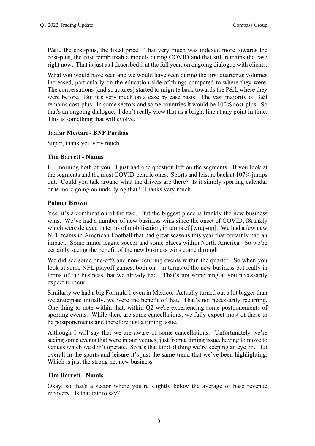P&L, the cost-plus, the fixed price. That very much was indexed more towards the cost-plus, the cost reimbursable models during COVID and that still remains the case right now. That is just as I described it at the full year, on ongoing dialogue with clients.

What you would have seen and we would have seen during the first quarter as volumes increased, particularly on the education side of things compared to where they were. The conversations [and structures] started to migrate back towards the P&L where they were before. But it's very much on a case by case basis. The vast majority of B&I remains cost-plus. In some sectors and some countries it would be 100% cost-plus. So that's an ongoing dialogue. I don't really view that as a bright line at any point in time. This is something that will evolve.

#### **Jaafar Mestari - BNP Paribas**

Super, thank you very much.

### **Tim Barrett - Numis**

Hi, morning both of you. I just had one question left on the segments. If you look at the segments and the most COVID-centric ones. Sports and leisure back at 107% jumps out. Could you talk around what the drivers are there? Is it simply sporting calendar or is more going on underlying that? Thanks very much.

#### **Palmer Brown**

Yes, it's a combination of the two. But the biggest piece is frankly the new business wins. We've had a number of new business wins since the onset of COVID, f8rankly which were delayed in terms of mobilisation, in terms of [wrap-up]. We had a few new NFL teams in American Football that had great seasons this year that certainly had an impact. Some minor league soccer and some places within North America. So we're certainly seeing the benefit of the new business wins come through

We did see some one-offs and non-recurring events within the quarter. So when you look at some NFL playoff games, both on - in terms of the new business but really in terms of the business that we already had. That's not something at you necessarily expect to recur.

Similarly we had a big Formula 1 even in Mexico. Actually turned out a lot bigger than we anticipate initially, we were the benefit of that. That's not necessarily recurring. One thing to note within that, within Q2 we're experiencing some postponements of sporting events. While there are some cancellations, we fully expect most of these to be postponements and therefore just a timing issue.

Although I will say that we are aware of some cancellations. Unfortunately we're seeing some events that were in our venues, just from a timing issue, having to move to venues which we don't operate. So it's that kind of thing we're keeping an eye on. But overall in the sports and leisure it's just the same trend that we've been highlighting. Which is just the strong net new business.

#### **Tim Barrett - Numis**

Okay, so that's a sector where you're slightly below the average of base revenue recovery. Is that fair to say?